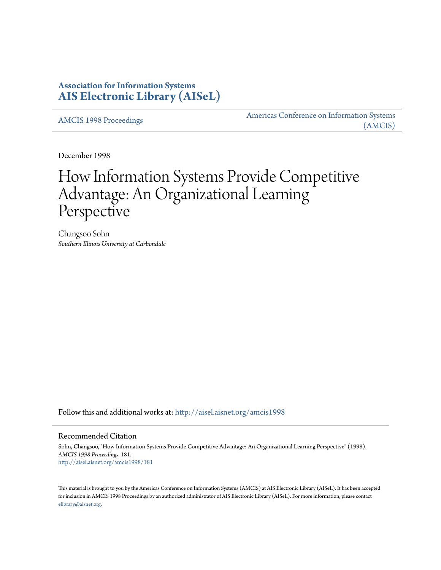## **Association for Information Systems [AIS Electronic Library \(AISeL\)](http://aisel.aisnet.org?utm_source=aisel.aisnet.org%2Famcis1998%2F181&utm_medium=PDF&utm_campaign=PDFCoverPages)**

[AMCIS 1998 Proceedings](http://aisel.aisnet.org/amcis1998?utm_source=aisel.aisnet.org%2Famcis1998%2F181&utm_medium=PDF&utm_campaign=PDFCoverPages)

[Americas Conference on Information Systems](http://aisel.aisnet.org/amcis?utm_source=aisel.aisnet.org%2Famcis1998%2F181&utm_medium=PDF&utm_campaign=PDFCoverPages) [\(AMCIS\)](http://aisel.aisnet.org/amcis?utm_source=aisel.aisnet.org%2Famcis1998%2F181&utm_medium=PDF&utm_campaign=PDFCoverPages)

December 1998

# How Information Systems Provide Competitive Advantage: An Organizational Learning Perspective

Changsoo Sohn *Southern Illinois University at Carbondale*

Follow this and additional works at: [http://aisel.aisnet.org/amcis1998](http://aisel.aisnet.org/amcis1998?utm_source=aisel.aisnet.org%2Famcis1998%2F181&utm_medium=PDF&utm_campaign=PDFCoverPages)

#### Recommended Citation

Sohn, Changsoo, "How Information Systems Provide Competitive Advantage: An Organizational Learning Perspective" (1998). *AMCIS 1998 Proceedings*. 181. [http://aisel.aisnet.org/amcis1998/181](http://aisel.aisnet.org/amcis1998/181?utm_source=aisel.aisnet.org%2Famcis1998%2F181&utm_medium=PDF&utm_campaign=PDFCoverPages)

This material is brought to you by the Americas Conference on Information Systems (AMCIS) at AIS Electronic Library (AISeL). It has been accepted for inclusion in AMCIS 1998 Proceedings by an authorized administrator of AIS Electronic Library (AISeL). For more information, please contact [elibrary@aisnet.org.](mailto:elibrary@aisnet.org%3E)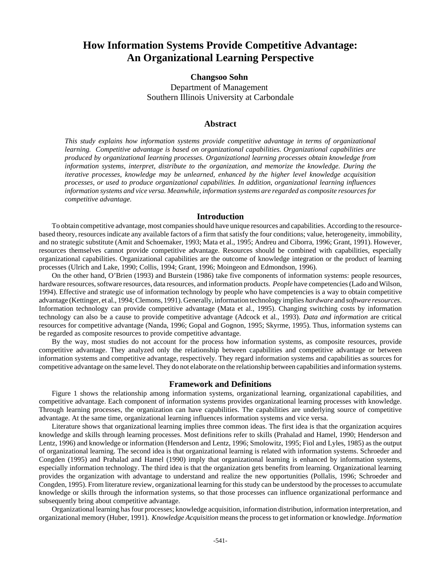# **How Information Systems Provide Competitive Advantage: An Organizational Learning Perspective**

## **Changsoo Sohn**  Department of Management Southern Illinois University at Carbondale

#### **Abstract**

*This study explains how information systems provide competitive advantage in terms of organizational learning. Competitive advantage is based on organizational capabilities. Organizational capabilities are produced by organizational learning processes. Organizational learning processes obtain knowledge from information systems, interpret, distribute to the organization, and memorize the knowledge. During the iterative processes, knowledge may be unlearned, enhanced by the higher level knowledge acquisition processes, or used to produce organizational capabilities. In addition, organizational learning influences information systems and vice versa. Meanwhile, information systems are regarded as composite resources for competitive advantage.*

#### **Introduction**

To obtain competitive advantage, most companies should have unique resources and capabilities. According to the resourcebased theory, resources indicate any available factors of a firm that satisfy the four conditions; value, heterogeneity, immobility, and no strategic substitute (Amit and Schoemaker, 1993; Mata et al., 1995; Andreu and Ciborra, 1996; Grant, 1991). However, resources themselves cannot provide competitive advantage. Resources should be combined with capabilities, especially organizational capabilities. Organizational capabilities are the outcome of knowledge integration or the product of learning processes (Ulrich and Lake, 1990; Collis, 1994; Grant, 1996; Moingeon and Edmondson, 1996).

On the other hand, O'Brien (1993) and Burstein (1986) take five components of information systems: people resources, hardware resources, software resources, data resources, and information products. *People* have competencies (Lado and Wilson, 1994). Effective and strategic use of information technology by people who have competencies is a way to obtain competitive advantage (Kettinger, et al., 1994; Clemons, 1991). Generally, information technology implies *hardware* and *software resources*. Information technology can provide competitive advantage (Mata et al., 1995). Changing switching costs by information technology can also be a cause to provide competitive advantage (Adcock et al., 1993). *Data and information* are critical resources for competitive advantage (Nanda, 1996; Gopal and Gognon, 1995; Skyrme, 1995). Thus, information systems can be regarded as composite resources to provide competitive advantage.

By the way, most studies do not account for the process how information systems, as composite resources, provide competitive advantage. They analyzed only the relationship between capabilities and competitive advantage or between information systems and competitive advantage, respectively. They regard information systems and capabilities as sources for competitive advantage on the same level. They do not elaborate on the relationship between capabilities and information systems.

#### **Framework and Definitions**

Figure 1 shows the relationship among information systems, organizational learning, organizational capabilities, and competitive advantage. Each component of information systems provides organizational learning processes with knowledge. Through learning processes, the organization can have capabilities. The capabilities are underlying source of competitive advantage. At the same time, organizational learning influences information systems and vice versa.

Literature shows that organizational learning implies three common ideas. The first idea is that the organization acquires knowledge and skills through learning processes. Most definitions refer to skills (Prahalad and Hamel, 1990; Henderson and Lentz, 1996) and knowledge or information (Henderson and Lentz, 1996; Smolowitz, 1995; Fiol and Lyles, 1985) as the output of organizational learning. The second idea is that organizational learning is related with information systems. Schroeder and Congden (1995) and Prahalad and Hamel (1990) imply that organizational learning is enhanced by information systems, especially information technology. The third idea is that the organization gets benefits from learning. Organizational learning provides the organization with advantage to understand and realize the new opportunities (Pollalis, 1996; Schroeder and Congden, 1995). From literature review, organizational learning for this study can be understood by the processes to accumulate knowledge or skills through the information systems, so that those processes can influence organizational performance and subsequently bring about competitive advantage.

Organizational learning has four processes; knowledge acquisition, information distribution, information interpretation, and organizational memory (Huber, 1991). *Knowledge Acquisition* means the process to get information or knowledge. *Information*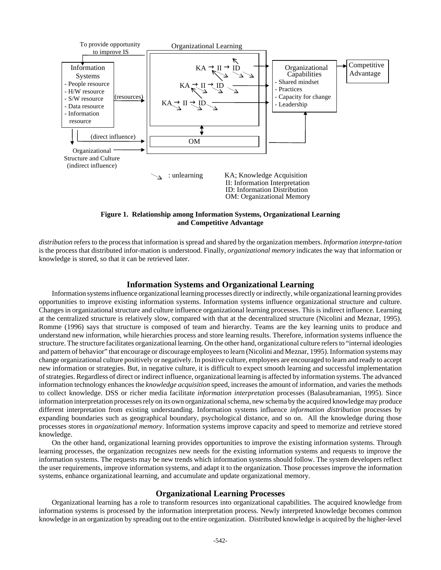

**Figure 1. Relationship among Information Systems, Organizational Learning and Competitive Advantage**

*distribution* refers to the process that information is spread and shared by the organization members. *Information interpre-tation* is the process that distributed infor-mation is understood. Finally, *organizational memory* indicates the way that information or knowledge is stored, so that it can be retrieved later.

#### **Information Systems and Organizational Learning**

Information systems influence organizational learning processes directly or indirectly, while organizational learning provides opportunities to improve existing information systems. Information systems influence organizational structure and culture. Changes in organizational structure and culture influence organizational learning processes. This is indirect influence. Learning at the centralized structure is relatively slow, compared with that at the decentralized structure (Nicolini and Meznar, 1995). Romme (1996) says that structure is composed of team and hierarchy. Teams are the key learning units to produce and understand new information, while hierarchies process and store learning results. Therefore, information systems influence the structure. The structure facilitates organizational learning. On the other hand, organizational culture refers to "internal ideologies and pattern of behavior" that encourage or discourage employees to learn (Nicolini and Meznar, 1995). Information systems may change organizational culture positively or negatively. In positive culture, employees are encouraged to learn and ready to accept new information or strategies. But, in negative culture, it is difficult to expect smooth learning and successful implementation of strategies. Regardless of direct or indirect influence, organizational learning is affected by information systems. The advanced information technology enhances the *knowledge acquisition* speed, increases the amount of information, and varies the methods to collect knowledge. DSS or richer media facilitate *information interpretation* processes (Balasubramanian, 1995). Since information interpretation processes rely on its own organizational schema, new schema by the acquired knowledge may produce different interpretation from existing understanding. Information systems influence *information distribution* processes by expanding boundaries such as geographical boundary, psychological distance, and so on. All the knowledge during those processes stores in *organizational memory*. Information systems improve capacity and speed to memorize and retrieve stored knowledge.

On the other hand, organizational learning provides opportunities to improve the existing information systems. Through learning processes, the organization recognizes new needs for the existing information systems and requests to improve the information systems. The requests may be new trends which information systems should follow. The system developers reflect the user requirements, improve information systems, and adapt it to the organization. Those processes improve the information systems, enhance organizational learning, and accumulate and update organizational memory.

#### **Organizational Learning Processes**

Organizational learning has a role to transform resources into organizational capabilities. The acquired knowledge from information systems is processed by the information interpretation process. Newly interpreted knowledge becomes common knowledge in an organization by spreading out to the entire organization. Distributed knowledge is acquired by the higher-level